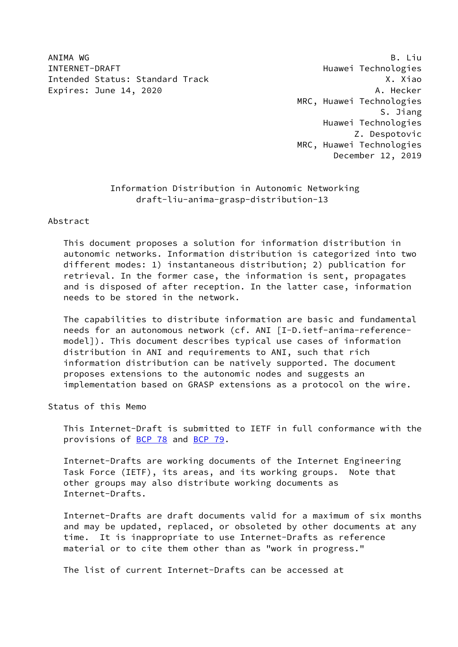ANIMA WG B. Liu INTERNET-DRAFT Huawei Technologies Intended Status: Standard Track X. Xiao Expires: June 14, 2020 **A. Hecker** 

 MRC, Huawei Technologies S. Jiang Huawei Technologies Z. Despotovic MRC, Huawei Technologies December 12, 2019

# Information Distribution in Autonomic Networking draft-liu-anima-grasp-distribution-13

### Abstract

 This document proposes a solution for information distribution in autonomic networks. Information distribution is categorized into two different modes: 1) instantaneous distribution; 2) publication for retrieval. In the former case, the information is sent, propagates and is disposed of after reception. In the latter case, information needs to be stored in the network.

 The capabilities to distribute information are basic and fundamental needs for an autonomous network (cf. ANI [I-D.ietf-anima-reference model]). This document describes typical use cases of information distribution in ANI and requirements to ANI, such that rich information distribution can be natively supported. The document proposes extensions to the autonomic nodes and suggests an implementation based on GRASP extensions as a protocol on the wire.

Status of this Memo

 This Internet-Draft is submitted to IETF in full conformance with the provisions of [BCP 78](https://datatracker.ietf.org/doc/pdf/bcp78) and [BCP 79](https://datatracker.ietf.org/doc/pdf/bcp79).

 Internet-Drafts are working documents of the Internet Engineering Task Force (IETF), its areas, and its working groups. Note that other groups may also distribute working documents as Internet-Drafts.

 Internet-Drafts are draft documents valid for a maximum of six months and may be updated, replaced, or obsoleted by other documents at any time. It is inappropriate to use Internet-Drafts as reference material or to cite them other than as "work in progress."

The list of current Internet-Drafts can be accessed at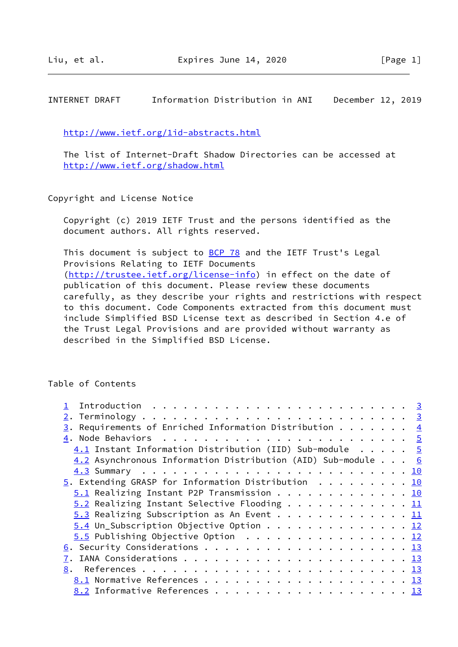INTERNET DRAFT Information Distribution in ANI December 12, 2019

<http://www.ietf.org/1id-abstracts.html>

 The list of Internet-Draft Shadow Directories can be accessed at <http://www.ietf.org/shadow.html>

Copyright and License Notice

 Copyright (c) 2019 IETF Trust and the persons identified as the document authors. All rights reserved.

This document is subject to **[BCP 78](https://datatracker.ietf.org/doc/pdf/bcp78)** and the IETF Trust's Legal Provisions Relating to IETF Documents [\(http://trustee.ietf.org/license-info](http://trustee.ietf.org/license-info)) in effect on the date of publication of this document. Please review these documents carefully, as they describe your rights and restrictions with respect to this document. Code Components extracted from this document must include Simplified BSD License text as described in Section 4.e of the Trust Legal Provisions and are provided without warranty as described in the Simplified BSD License.

Table of Contents

| $\underline{3}$ . Requirements of Enriched Information Distribution 4<br>$4.1$ Instant Information Distribution (IID) Sub-module 5<br>4.2 Asynchronous Information Distribution (AID) Sub-module 6 |                               |                                                                                                                                                                                                                                                                                                   |
|----------------------------------------------------------------------------------------------------------------------------------------------------------------------------------------------------|-------------------------------|---------------------------------------------------------------------------------------------------------------------------------------------------------------------------------------------------------------------------------------------------------------------------------------------------|
|                                                                                                                                                                                                    |                               |                                                                                                                                                                                                                                                                                                   |
|                                                                                                                                                                                                    |                               |                                                                                                                                                                                                                                                                                                   |
|                                                                                                                                                                                                    |                               |                                                                                                                                                                                                                                                                                                   |
|                                                                                                                                                                                                    |                               |                                                                                                                                                                                                                                                                                                   |
|                                                                                                                                                                                                    |                               |                                                                                                                                                                                                                                                                                                   |
|                                                                                                                                                                                                    |                               |                                                                                                                                                                                                                                                                                                   |
|                                                                                                                                                                                                    |                               |                                                                                                                                                                                                                                                                                                   |
|                                                                                                                                                                                                    |                               |                                                                                                                                                                                                                                                                                                   |
|                                                                                                                                                                                                    |                               |                                                                                                                                                                                                                                                                                                   |
|                                                                                                                                                                                                    |                               |                                                                                                                                                                                                                                                                                                   |
|                                                                                                                                                                                                    |                               |                                                                                                                                                                                                                                                                                                   |
|                                                                                                                                                                                                    |                               |                                                                                                                                                                                                                                                                                                   |
|                                                                                                                                                                                                    |                               |                                                                                                                                                                                                                                                                                                   |
|                                                                                                                                                                                                    |                               |                                                                                                                                                                                                                                                                                                   |
| 8.                                                                                                                                                                                                 |                               |                                                                                                                                                                                                                                                                                                   |
|                                                                                                                                                                                                    |                               |                                                                                                                                                                                                                                                                                                   |
|                                                                                                                                                                                                    |                               |                                                                                                                                                                                                                                                                                                   |
|                                                                                                                                                                                                    | 8.2 Informative References 13 | $\underline{5}$ . Extending GRASP for Information Distribution 10<br>$5.1$ Realizing Instant P2P Transmission 10<br>$5.2$ Realizing Instant Selective Flooding 11<br>5.3 Realizing Subscription as An Event 11<br>5.4 Un_Subscription Objective Option 12<br>$5.5$ Publishing Objective Option 12 |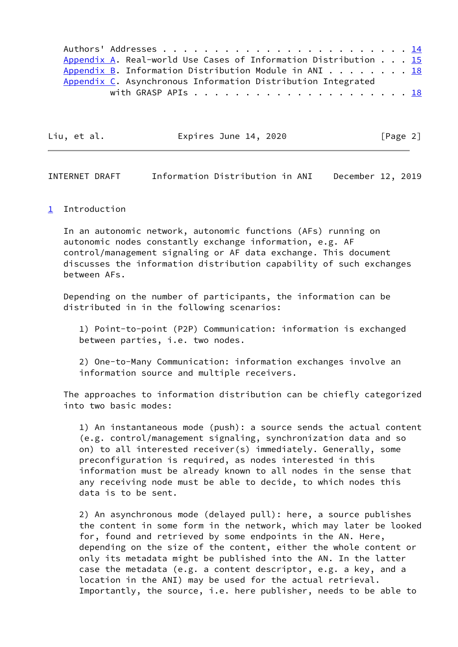Authors' Addresses . . . . . . . . . . . . . . . . . . . . . . . . [14](#page-14-1) [Appendix A](#page-19-0). Real-world Use Cases of Information Distribution . . . [15](#page-15-3) [Appendix B](#page-21-0). Information Distribution Module in ANI  $\dots$  . . . . . [18](#page-19-1) [Appendix C](#page-22-0). Asynchronous Information Distribution Integrated with GRASP APIs . . . . . . . . . . . . . . . . . . . . . [18](#page-19-1)

| [Page 2]<br>Liu, et al.<br>Expires June 14, 2020 |  |
|--------------------------------------------------|--|
|--------------------------------------------------|--|

<span id="page-2-1"></span>INTERNET DRAFT Information Distribution in ANI December 12, 2019

### <span id="page-2-0"></span>[1](#page-2-0) Introduction

 In an autonomic network, autonomic functions (AFs) running on autonomic nodes constantly exchange information, e.g. AF control/management signaling or AF data exchange. This document discusses the information distribution capability of such exchanges between AFs.

 Depending on the number of participants, the information can be distributed in in the following scenarios:

 1) Point-to-point (P2P) Communication: information is exchanged between parties, i.e. two nodes.

 2) One-to-Many Communication: information exchanges involve an information source and multiple receivers.

 The approaches to information distribution can be chiefly categorized into two basic modes:

 1) An instantaneous mode (push): a source sends the actual content (e.g. control/management signaling, synchronization data and so on) to all interested receiver(s) immediately. Generally, some preconfiguration is required, as nodes interested in this information must be already known to all nodes in the sense that any receiving node must be able to decide, to which nodes this data is to be sent.

 2) An asynchronous mode (delayed pull): here, a source publishes the content in some form in the network, which may later be looked for, found and retrieved by some endpoints in the AN. Here, depending on the size of the content, either the whole content or only its metadata might be published into the AN. In the latter case the metadata (e.g. a content descriptor, e.g. a key, and a location in the ANI) may be used for the actual retrieval. Importantly, the source, i.e. here publisher, needs to be able to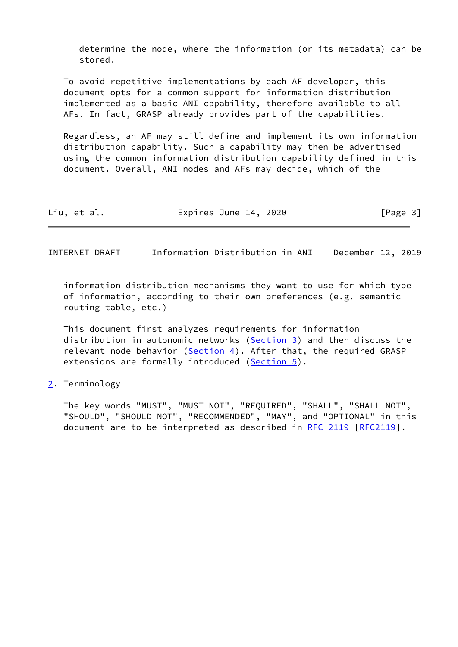determine the node, where the information (or its metadata) can be stored.

 To avoid repetitive implementations by each AF developer, this document opts for a common support for information distribution implemented as a basic ANI capability, therefore available to all AFs. In fact, GRASP already provides part of the capabilities.

 Regardless, an AF may still define and implement its own information distribution capability. Such a capability may then be advertised using the common information distribution capability defined in this document. Overall, ANI nodes and AFs may decide, which of the

| Liu, et al.<br>Expires June 14, 2020 | [Page 3] |
|--------------------------------------|----------|
|--------------------------------------|----------|

<span id="page-3-1"></span>INTERNET DRAFT Information Distribution in ANI December 12, 2019

 information distribution mechanisms they want to use for which type of information, according to their own preferences (e.g. semantic routing table, etc.)

 This document first analyzes requirements for information distribution in autonomic networks ([Section 3\)](#page-4-0) and then discuss the relevant node behavior  $(Section 4)$  $(Section 4)$ . After that, the required GRASP extensions are formally introduced ([Section 5\)](#page-13-1).

### <span id="page-3-0"></span>[2](#page-3-0). Terminology

 The key words "MUST", "MUST NOT", "REQUIRED", "SHALL", "SHALL NOT", "SHOULD", "SHOULD NOT", "RECOMMENDED", "MAY", and "OPTIONAL" in this document are to be interpreted as described in [RFC 2119 \[RFC2119](https://datatracker.ietf.org/doc/pdf/rfc2119)].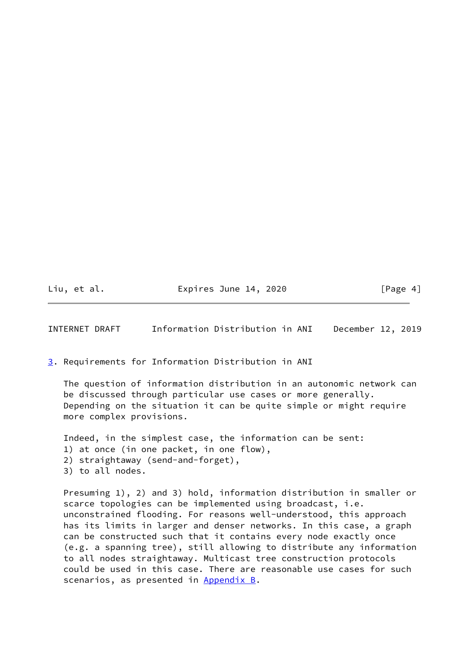Liu, et al. **Expires June 14, 2020** [Page 4]

<span id="page-4-1"></span>INTERNET DRAFT Information Distribution in ANI December 12, 2019

<span id="page-4-0"></span>[3](#page-4-0). Requirements for Information Distribution in ANI

 The question of information distribution in an autonomic network can be discussed through particular use cases or more generally. Depending on the situation it can be quite simple or might require more complex provisions.

 Indeed, in the simplest case, the information can be sent: 1) at once (in one packet, in one flow), 2) straightaway (send-and-forget), 3) to all nodes.

 Presuming 1), 2) and 3) hold, information distribution in smaller or scarce topologies can be implemented using broadcast, i.e. unconstrained flooding. For reasons well-understood, this approach has its limits in larger and denser networks. In this case, a graph can be constructed such that it contains every node exactly once (e.g. a spanning tree), still allowing to distribute any information to all nodes straightaway. Multicast tree construction protocols could be used in this case. There are reasonable use cases for such scenarios, as presented in [Appendix B.](#page-21-0)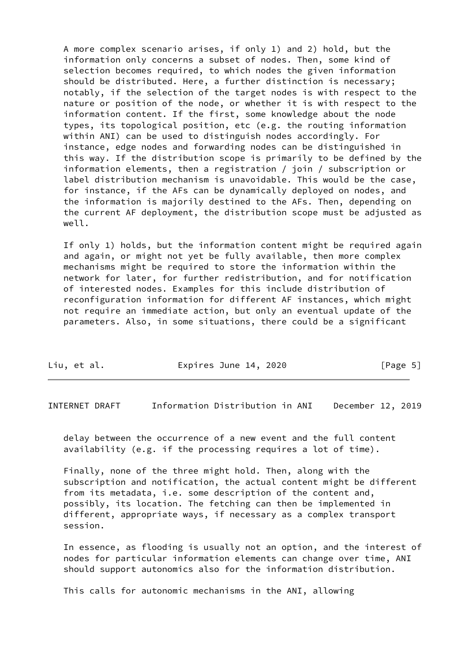A more complex scenario arises, if only 1) and 2) hold, but the information only concerns a subset of nodes. Then, some kind of selection becomes required, to which nodes the given information should be distributed. Here, a further distinction is necessary; notably, if the selection of the target nodes is with respect to the nature or position of the node, or whether it is with respect to the information content. If the first, some knowledge about the node types, its topological position, etc (e.g. the routing information within ANI) can be used to distinguish nodes accordingly. For instance, edge nodes and forwarding nodes can be distinguished in this way. If the distribution scope is primarily to be defined by the information elements, then a registration / join / subscription or label distribution mechanism is unavoidable. This would be the case, for instance, if the AFs can be dynamically deployed on nodes, and the information is majorily destined to the AFs. Then, depending on the current AF deployment, the distribution scope must be adjusted as well.

 If only 1) holds, but the information content might be required again and again, or might not yet be fully available, then more complex mechanisms might be required to store the information within the network for later, for further redistribution, and for notification of interested nodes. Examples for this include distribution of reconfiguration information for different AF instances, which might not require an immediate action, but only an eventual update of the parameters. Also, in some situations, there could be a significant

| Liu, et al.<br>Expires June 14, 2020 | [Page 5] |
|--------------------------------------|----------|
|--------------------------------------|----------|

<span id="page-5-0"></span>INTERNET DRAFT Information Distribution in ANI December 12, 2019

 delay between the occurrence of a new event and the full content availability (e.g. if the processing requires a lot of time).

 Finally, none of the three might hold. Then, along with the subscription and notification, the actual content might be different from its metadata, i.e. some description of the content and, possibly, its location. The fetching can then be implemented in different, appropriate ways, if necessary as a complex transport session.

 In essence, as flooding is usually not an option, and the interest of nodes for particular information elements can change over time, ANI should support autonomics also for the information distribution.

This calls for autonomic mechanisms in the ANI, allowing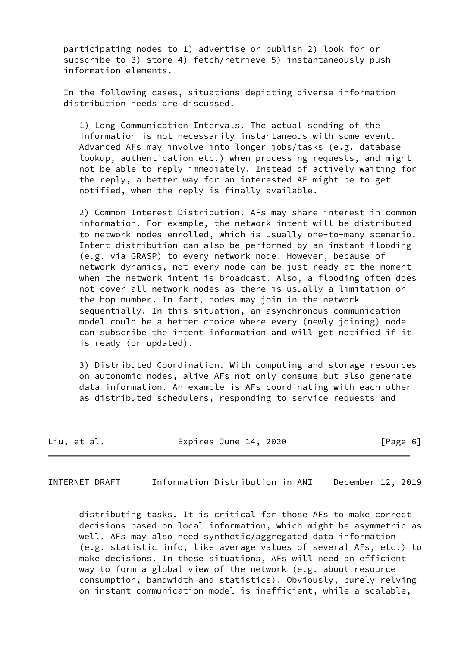participating nodes to 1) advertise or publish 2) look for or subscribe to 3) store 4) fetch/retrieve 5) instantaneously push information elements.

 In the following cases, situations depicting diverse information distribution needs are discussed.

 1) Long Communication Intervals. The actual sending of the information is not necessarily instantaneous with some event. Advanced AFs may involve into longer jobs/tasks (e.g. database lookup, authentication etc.) when processing requests, and might not be able to reply immediately. Instead of actively waiting for the reply, a better way for an interested AF might be to get notified, when the reply is finally available.

 2) Common Interest Distribution. AFs may share interest in common information. For example, the network intent will be distributed to network nodes enrolled, which is usually one-to-many scenario. Intent distribution can also be performed by an instant flooding (e.g. via GRASP) to every network node. However, because of network dynamics, not every node can be just ready at the moment when the network intent is broadcast. Also, a flooding often does not cover all network nodes as there is usually a limitation on the hop number. In fact, nodes may join in the network sequentially. In this situation, an asynchronous communication model could be a better choice where every (newly joining) node can subscribe the intent information and will get notified if it is ready (or updated).

 3) Distributed Coordination. With computing and storage resources on autonomic nodes, alive AFs not only consume but also generate data information. An example is AFs coordinating with each other as distributed schedulers, responding to service requests and

| Liu, et al. | Expires June 14, 2020 | [Page 6] |
|-------------|-----------------------|----------|
|-------------|-----------------------|----------|

INTERNET DRAFT Information Distribution in ANI December 12, 2019

 distributing tasks. It is critical for those AFs to make correct decisions based on local information, which might be asymmetric as well. AFs may also need synthetic/aggregated data information (e.g. statistic info, like average values of several AFs, etc.) to make decisions. In these situations, AFs will need an efficient way to form a global view of the network (e.g. about resource consumption, bandwidth and statistics). Obviously, purely relying on instant communication model is inefficient, while a scalable,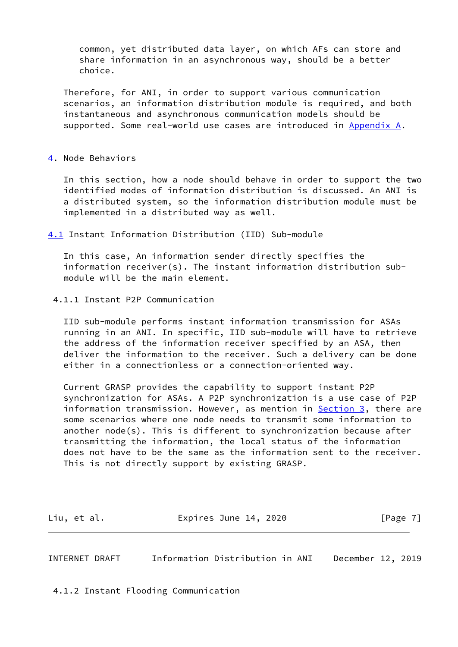common, yet distributed data layer, on which AFs can store and share information in an asynchronous way, should be a better choice.

 Therefore, for ANI, in order to support various communication scenarios, an information distribution module is required, and both instantaneous and asynchronous communication models should be supported. Some real-world use cases are introduced in [Appendix A.](#page-19-0)

# <span id="page-7-0"></span>[4](#page-7-0). Node Behaviors

 In this section, how a node should behave in order to support the two identified modes of information distribution is discussed. An ANI is a distributed system, so the information distribution module must be implemented in a distributed way as well.

<span id="page-7-1"></span>[4.1](#page-7-1) Instant Information Distribution (IID) Sub-module

 In this case, An information sender directly specifies the information receiver(s). The instant information distribution sub module will be the main element.

#### 4.1.1 Instant P2P Communication

 IID sub-module performs instant information transmission for ASAs running in an ANI. In specific, IID sub-module will have to retrieve the address of the information receiver specified by an ASA, then deliver the information to the receiver. Such a delivery can be done either in a connectionless or a connection-oriented way.

 Current GRASP provides the capability to support instant P2P synchronization for ASAs. A P2P synchronization is a use case of P2P information transmission. However, as mention in [Section 3](#page-4-0), there are some scenarios where one node needs to transmit some information to another node(s). This is different to synchronization because after transmitting the information, the local status of the information does not have to be the same as the information sent to the receiver. This is not directly support by existing GRASP.

Liu, et al. **Expires June 14, 2020** [Page 7]

INTERNET DRAFT Information Distribution in ANI December 12, 2019

4.1.2 Instant Flooding Communication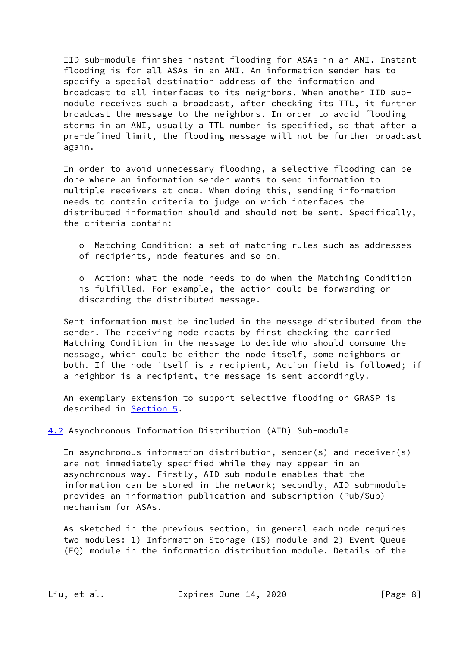IID sub-module finishes instant flooding for ASAs in an ANI. Instant flooding is for all ASAs in an ANI. An information sender has to specify a special destination address of the information and broadcast to all interfaces to its neighbors. When another IID sub module receives such a broadcast, after checking its TTL, it further broadcast the message to the neighbors. In order to avoid flooding storms in an ANI, usually a TTL number is specified, so that after a pre-defined limit, the flooding message will not be further broadcast again.

 In order to avoid unnecessary flooding, a selective flooding can be done where an information sender wants to send information to multiple receivers at once. When doing this, sending information needs to contain criteria to judge on which interfaces the distributed information should and should not be sent. Specifically, the criteria contain:

 o Matching Condition: a set of matching rules such as addresses of recipients, node features and so on.

 o Action: what the node needs to do when the Matching Condition is fulfilled. For example, the action could be forwarding or discarding the distributed message.

 Sent information must be included in the message distributed from the sender. The receiving node reacts by first checking the carried Matching Condition in the message to decide who should consume the message, which could be either the node itself, some neighbors or both. If the node itself is a recipient, Action field is followed; if a neighbor is a recipient, the message is sent accordingly.

 An exemplary extension to support selective flooding on GRASP is described in [Section 5](#page-13-1).

<span id="page-8-0"></span>[4.2](#page-8-0) Asynchronous Information Distribution (AID) Sub-module

 In asynchronous information distribution, sender(s) and receiver(s) are not immediately specified while they may appear in an asynchronous way. Firstly, AID sub-module enables that the information can be stored in the network; secondly, AID sub-module provides an information publication and subscription (Pub/Sub) mechanism for ASAs.

 As sketched in the previous section, in general each node requires two modules: 1) Information Storage (IS) module and 2) Event Queue (EQ) module in the information distribution module. Details of the

Liu, et al. **Expires June 14, 2020** [Page 8]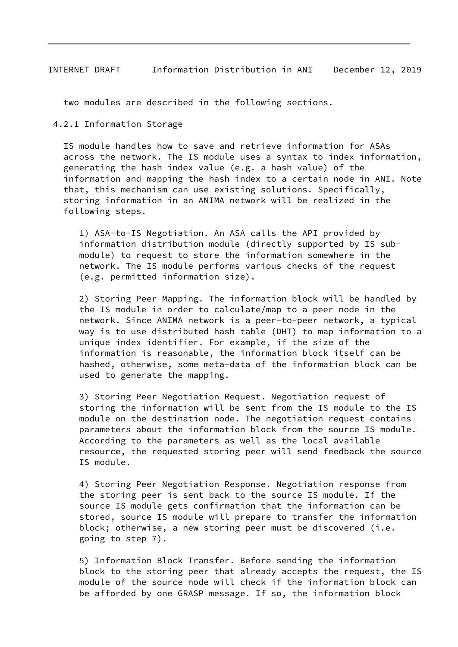two modules are described in the following sections.

4.2.1 Information Storage

 IS module handles how to save and retrieve information for ASAs across the network. The IS module uses a syntax to index information, generating the hash index value (e.g. a hash value) of the information and mapping the hash index to a certain node in ANI. Note that, this mechanism can use existing solutions. Specifically, storing information in an ANIMA network will be realized in the following steps.

 1) ASA-to-IS Negotiation. An ASA calls the API provided by information distribution module (directly supported by IS sub module) to request to store the information somewhere in the network. The IS module performs various checks of the request (e.g. permitted information size).

 2) Storing Peer Mapping. The information block will be handled by the IS module in order to calculate/map to a peer node in the network. Since ANIMA network is a peer-to-peer network, a typical way is to use distributed hash table (DHT) to map information to a unique index identifier. For example, if the size of the information is reasonable, the information block itself can be hashed, otherwise, some meta-data of the information block can be used to generate the mapping.

 3) Storing Peer Negotiation Request. Negotiation request of storing the information will be sent from the IS module to the IS module on the destination node. The negotiation request contains parameters about the information block from the source IS module. According to the parameters as well as the local available resource, the requested storing peer will send feedback the source IS module.

 4) Storing Peer Negotiation Response. Negotiation response from the storing peer is sent back to the source IS module. If the source IS module gets confirmation that the information can be stored, source IS module will prepare to transfer the information block; otherwise, a new storing peer must be discovered (i.e. going to step 7).

 5) Information Block Transfer. Before sending the information block to the storing peer that already accepts the request, the IS module of the source node will check if the information block can be afforded by one GRASP message. If so, the information block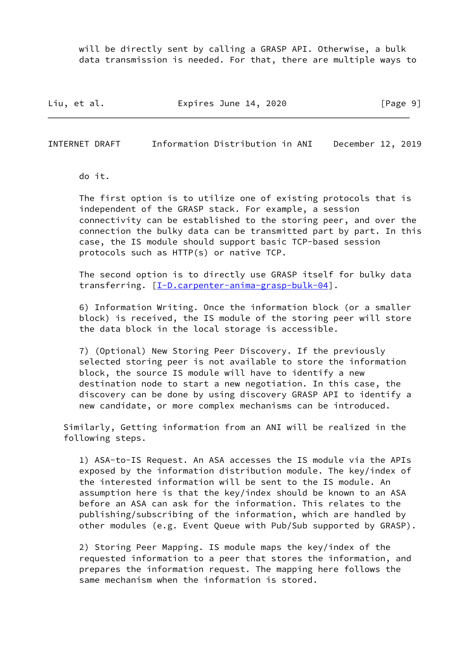will be directly sent by calling a GRASP API. Otherwise, a bulk data transmission is needed. For that, there are multiple ways to

Liu, et al. **Expires June 14, 2020** [Page 9]

<span id="page-10-0"></span>INTERNET DRAFT Information Distribution in ANI December 12, 2019

do it.

 The first option is to utilize one of existing protocols that is independent of the GRASP stack. For example, a session connectivity can be established to the storing peer, and over the connection the bulky data can be transmitted part by part. In this case, the IS module should support basic TCP-based session protocols such as HTTP(s) or native TCP.

 The second option is to directly use GRASP itself for bulky data transferring.  $[I-D.carpenter-animal-rasp-bulk-04]$ .

 6) Information Writing. Once the information block (or a smaller block) is received, the IS module of the storing peer will store the data block in the local storage is accessible.

 7) (Optional) New Storing Peer Discovery. If the previously selected storing peer is not available to store the information block, the source IS module will have to identify a new destination node to start a new negotiation. In this case, the discovery can be done by using discovery GRASP API to identify a new candidate, or more complex mechanisms can be introduced.

 Similarly, Getting information from an ANI will be realized in the following steps.

 1) ASA-to-IS Request. An ASA accesses the IS module via the APIs exposed by the information distribution module. The key/index of the interested information will be sent to the IS module. An assumption here is that the key/index should be known to an ASA before an ASA can ask for the information. This relates to the publishing/subscribing of the information, which are handled by other modules (e.g. Event Queue with Pub/Sub supported by GRASP).

 2) Storing Peer Mapping. IS module maps the key/index of the requested information to a peer that stores the information, and prepares the information request. The mapping here follows the same mechanism when the information is stored.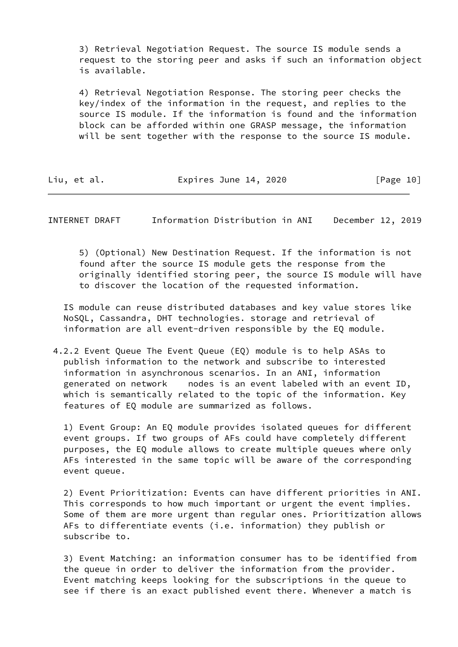3) Retrieval Negotiation Request. The source IS module sends a request to the storing peer and asks if such an information object is available.

 4) Retrieval Negotiation Response. The storing peer checks the key/index of the information in the request, and replies to the source IS module. If the information is found and the information block can be afforded within one GRASP message, the information will be sent together with the response to the source IS module.

| Liu, et al. | Expires June 14, 2020 |  | [Page 10] |
|-------------|-----------------------|--|-----------|
|-------------|-----------------------|--|-----------|

<span id="page-11-0"></span>INTERNET DRAFT Information Distribution in ANI December 12, 2019

 5) (Optional) New Destination Request. If the information is not found after the source IS module gets the response from the originally identified storing peer, the source IS module will have to discover the location of the requested information.

 IS module can reuse distributed databases and key value stores like NoSQL, Cassandra, DHT technologies. storage and retrieval of information are all event-driven responsible by the EQ module.

 4.2.2 Event Queue The Event Queue (EQ) module is to help ASAs to publish information to the network and subscribe to interested information in asynchronous scenarios. In an ANI, information generated on network nodes is an event labeled with an event ID, which is semantically related to the topic of the information. Key features of EQ module are summarized as follows.

 1) Event Group: An EQ module provides isolated queues for different event groups. If two groups of AFs could have completely different purposes, the EQ module allows to create multiple queues where only AFs interested in the same topic will be aware of the corresponding event queue.

 2) Event Prioritization: Events can have different priorities in ANI. This corresponds to how much important or urgent the event implies. Some of them are more urgent than regular ones. Prioritization allows AFs to differentiate events (i.e. information) they publish or subscribe to.

 3) Event Matching: an information consumer has to be identified from the queue in order to deliver the information from the provider. Event matching keeps looking for the subscriptions in the queue to see if there is an exact published event there. Whenever a match is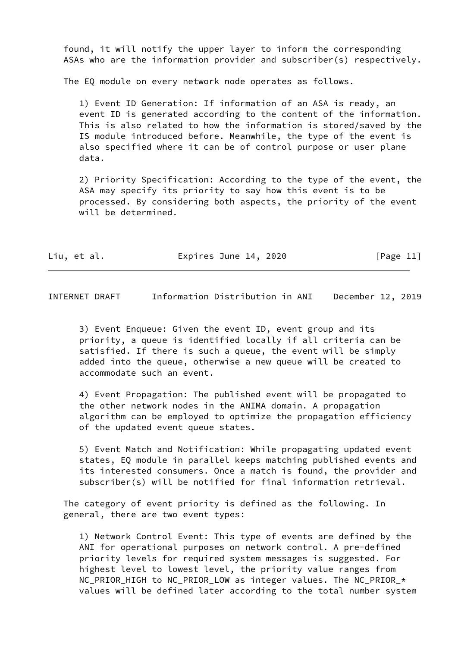found, it will notify the upper layer to inform the corresponding ASAs who are the information provider and subscriber(s) respectively.

The EQ module on every network node operates as follows.

 1) Event ID Generation: If information of an ASA is ready, an event ID is generated according to the content of the information. This is also related to how the information is stored/saved by the IS module introduced before. Meanwhile, the type of the event is also specified where it can be of control purpose or user plane data.

 2) Priority Specification: According to the type of the event, the ASA may specify its priority to say how this event is to be processed. By considering both aspects, the priority of the event will be determined.

| Liu, et al. |  | Expires June 14, 2020 | [Page 11] |
|-------------|--|-----------------------|-----------|
|-------------|--|-----------------------|-----------|

<span id="page-12-0"></span>INTERNET DRAFT Information Distribution in ANI December 12, 2019

 3) Event Enqueue: Given the event ID, event group and its priority, a queue is identified locally if all criteria can be satisfied. If there is such a queue, the event will be simply added into the queue, otherwise a new queue will be created to accommodate such an event.

 4) Event Propagation: The published event will be propagated to the other network nodes in the ANIMA domain. A propagation algorithm can be employed to optimize the propagation efficiency of the updated event queue states.

 5) Event Match and Notification: While propagating updated event states, EQ module in parallel keeps matching published events and its interested consumers. Once a match is found, the provider and subscriber(s) will be notified for final information retrieval.

 The category of event priority is defined as the following. In general, there are two event types:

 1) Network Control Event: This type of events are defined by the ANI for operational purposes on network control. A pre-defined priority levels for required system messages is suggested. For highest level to lowest level, the priority value ranges from NC\_PRIOR\_HIGH to NC\_PRIOR\_LOW as integer values. The NC\_PRIOR\_\* values will be defined later according to the total number system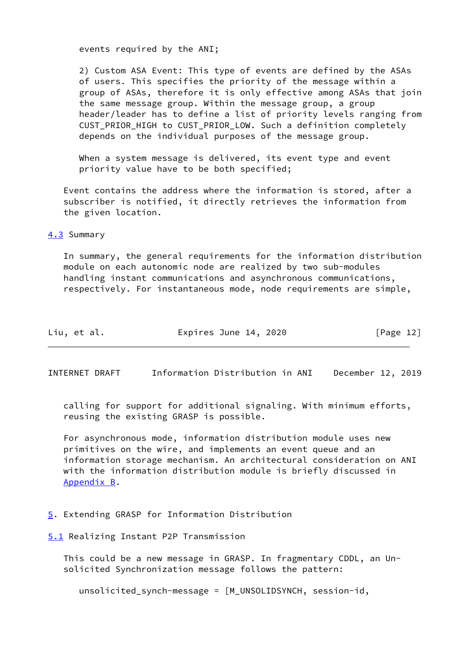events required by the ANI;

 2) Custom ASA Event: This type of events are defined by the ASAs of users. This specifies the priority of the message within a group of ASAs, therefore it is only effective among ASAs that join the same message group. Within the message group, a group header/leader has to define a list of priority levels ranging from CUST\_PRIOR\_HIGH to CUST\_PRIOR\_LOW. Such a definition completely depends on the individual purposes of the message group.

 When a system message is delivered, its event type and event priority value have to be both specified;

 Event contains the address where the information is stored, after a subscriber is notified, it directly retrieves the information from the given location.

<span id="page-13-0"></span>[4.3](#page-13-0) Summary

 In summary, the general requirements for the information distribution module on each autonomic node are realized by two sub-modules handling instant communications and asynchronous communications, respectively. For instantaneous mode, node requirements are simple,

| Expires June 14, 2020<br>Liu, et al. | [Page 12] |  |
|--------------------------------------|-----------|--|
|--------------------------------------|-----------|--|

<span id="page-13-3"></span>INTERNET DRAFT Information Distribution in ANI December 12, 2019

 calling for support for additional signaling. With minimum efforts, reusing the existing GRASP is possible.

 For asynchronous mode, information distribution module uses new primitives on the wire, and implements an event queue and an information storage mechanism. An architectural consideration on ANI with the information distribution module is briefly discussed in [Appendix B](#page-21-0).

### <span id="page-13-1"></span>[5](#page-13-1). Extending GRASP for Information Distribution

<span id="page-13-2"></span>[5.1](#page-13-2) Realizing Instant P2P Transmission

 This could be a new message in GRASP. In fragmentary CDDL, an Un solicited Synchronization message follows the pattern:

unsolicited\_synch-message = [M\_UNSOLIDSYNCH, session-id,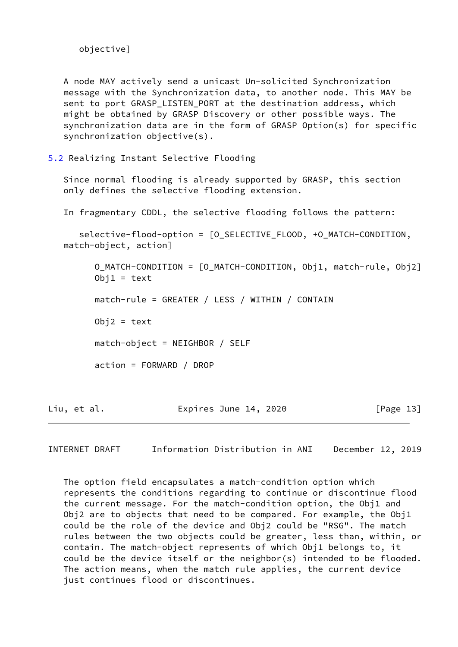```
 objective]
```
 A node MAY actively send a unicast Un-solicited Synchronization message with the Synchronization data, to another node. This MAY be sent to port GRASP\_LISTEN\_PORT at the destination address, which might be obtained by GRASP Discovery or other possible ways. The synchronization data are in the form of GRASP Option(s) for specific synchronization objective(s).

<span id="page-14-0"></span>[5.2](#page-14-0) Realizing Instant Selective Flooding

 Since normal flooding is already supported by GRASP, this section only defines the selective flooding extension.

In fragmentary CDDL, the selective flooding follows the pattern:

 selective-flood-option = [O\_SELECTIVE\_FLOOD, +O\_MATCH-CONDITION, match-object, action]

 O\_MATCH-CONDITION = [O\_MATCH-CONDITION, Obj1, match-rule, Obj2]  $Obj1 = text$  match-rule = GREATER / LESS / WITHIN / CONTAIN  $Obj2 = text$  match-object = NEIGHBOR / SELF action = FORWARD / DROP

Liu, et al. **Expires June 14, 2020** [Page 13]

<span id="page-14-1"></span>INTERNET DRAFT Information Distribution in ANI December 12, 2019

 The option field encapsulates a match-condition option which represents the conditions regarding to continue or discontinue flood the current message. For the match-condition option, the Obj1 and Obj2 are to objects that need to be compared. For example, the Obj1 could be the role of the device and Obj2 could be "RSG". The match rules between the two objects could be greater, less than, within, or contain. The match-object represents of which Obj1 belongs to, it could be the device itself or the neighbor(s) intended to be flooded. The action means, when the match rule applies, the current device just continues flood or discontinues.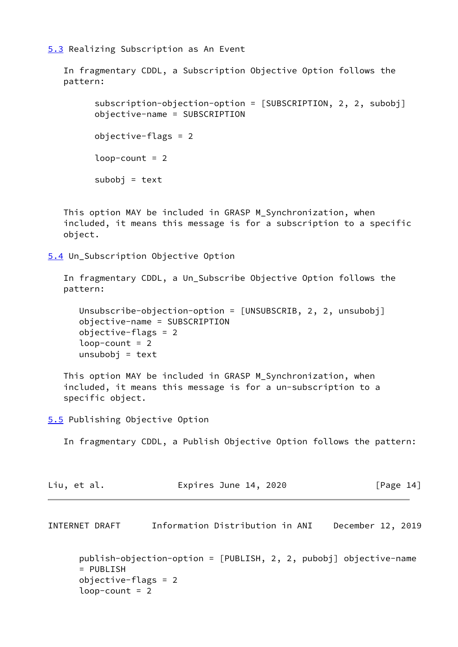<span id="page-15-0"></span>[5.3](#page-15-0) Realizing Subscription as An Event

 In fragmentary CDDL, a Subscription Objective Option follows the pattern:

 subscription-objection-option = [SUBSCRIPTION, 2, 2, subobj] objective-name = SUBSCRIPTION objective-flags = 2  $loop$ -count = 2  $subobj = text$ 

This option MAY be included in GRASP M Synchronization, when included, it means this message is for a subscription to a specific object.

<span id="page-15-1"></span>[5.4](#page-15-1) Un\_Subscription Objective Option

 In fragmentary CDDL, a Un\_Subscribe Objective Option follows the pattern:

```
 Unsubscribe-objection-option = [UNSUBSCRIB, 2, 2, unsubobj]
 objective-name = SUBSCRIPTION
 objective-flags = 2
loop-count = 2
unsubobj = text
```
 This option MAY be included in GRASP M\_Synchronization, when included, it means this message is for a un-subscription to a specific object.

<span id="page-15-2"></span>[5.5](#page-15-2) Publishing Objective Option

In fragmentary CDDL, a Publish Objective Option follows the pattern:

| Liu, et al. | Expires June 14, 2020 | [Page 14] |
|-------------|-----------------------|-----------|
|             |                       |           |

<span id="page-15-3"></span>INTERNET DRAFT Information Distribution in ANI December 12, 2019

```
 publish-objection-option = [PUBLISH, 2, 2, pubobj] objective-name
 = PUBLISH
 objective-flags = 2
loop-count = 2
```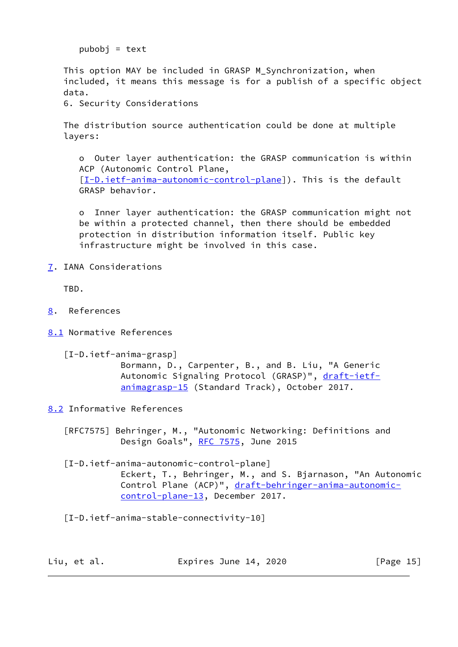pubobj = text

 This option MAY be included in GRASP M\_Synchronization, when included, it means this message is for a publish of a specific object data.

6. Security Considerations

 The distribution source authentication could be done at multiple layers:

 o Outer layer authentication: the GRASP communication is within ACP (Autonomic Control Plane, [[I-D.ietf-anima-autonomic-control-plane](#page-16-4)]). This is the default GRASP behavior.

 o Inner layer authentication: the GRASP communication might not be within a protected channel, then there should be embedded protection in distribution information itself. Public key infrastructure might be involved in this case.

<span id="page-16-0"></span>[7](#page-16-0). IANA Considerations

TBD.

- <span id="page-16-1"></span>[8](#page-16-1). References
- <span id="page-16-2"></span>[8.1](#page-16-2) Normative References

```
 [I-D.ietf-anima-grasp]
         Bormann, D., Carpenter, B., and B. Liu, "A Generic
         draft-ietf-
         animagrasp-15 (Standard Track), October 2017.
```
<span id="page-16-3"></span>[8.2](#page-16-3) Informative References

 [RFC7575] Behringer, M., "Autonomic Networking: Definitions and Design Goals", [RFC 7575](https://datatracker.ietf.org/doc/pdf/rfc7575), June 2015

<span id="page-16-4"></span> [I-D.ietf-anima-autonomic-control-plane] Eckert, T., Behringer, M., and S. Bjarnason, "An Autonomic Control Plane (ACP)", [draft-behringer-anima-autonomic](https://datatracker.ietf.org/doc/pdf/draft-behringer-anima-autonomic-control-plane-13) [control-plane-13,](https://datatracker.ietf.org/doc/pdf/draft-behringer-anima-autonomic-control-plane-13) December 2017.

[I-D.ietf-anima-stable-connectivity-10]

Liu, et al. **Expires June 14, 2020** [Page 15]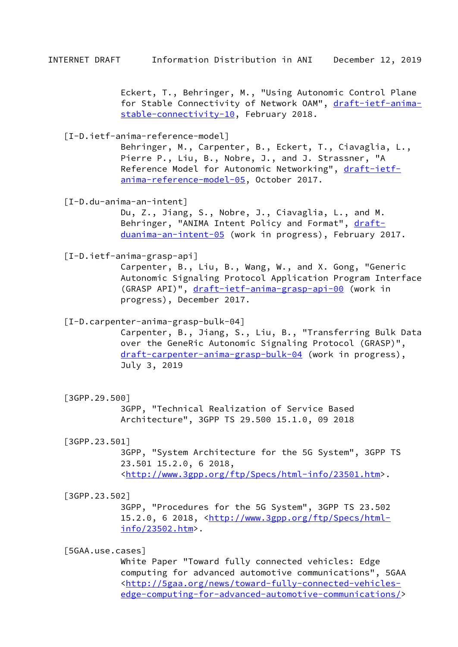Eckert, T., Behringer, M., "Using Autonomic Control Plane for Stable Connectivity of Network OAM", [draft-ietf-anima](https://datatracker.ietf.org/doc/pdf/draft-ietf-anima-stable-connectivity-10) [stable-connectivity-10](https://datatracker.ietf.org/doc/pdf/draft-ietf-anima-stable-connectivity-10), February 2018.

[I-D.ietf-anima-reference-model]

 Behringer, M., Carpenter, B., Eckert, T., Ciavaglia, L., Pierre P., Liu, B., Nobre, J., and J. Strassner, "A Reference Model for Autonomic Networking", [draft-ietf](https://datatracker.ietf.org/doc/pdf/draft-ietf-anima-reference-model-05) [anima-reference-model-05,](https://datatracker.ietf.org/doc/pdf/draft-ietf-anima-reference-model-05) October 2017.

[I-D.du-anima-an-intent]

 Du, Z., Jiang, S., Nobre, J., Ciavaglia, L., and M. Behringer, "ANIMA Intent Policy and Format", [draft](https://datatracker.ietf.org/doc/pdf/draft-duanima-an-intent-05) [duanima-an-intent-05](https://datatracker.ietf.org/doc/pdf/draft-duanima-an-intent-05) (work in progress), February 2017.

[I-D.ietf-anima-grasp-api]

 Carpenter, B., Liu, B., Wang, W., and X. Gong, "Generic Autonomic Signaling Protocol Application Program Interface (GRASP API)", [draft-ietf-anima-grasp-api-00](https://datatracker.ietf.org/doc/pdf/draft-ietf-anima-grasp-api-00) (work in progress), December 2017.

<span id="page-17-0"></span>[I-D.carpenter-anima-grasp-bulk-04]

 Carpenter, B., Jiang, S., Liu, B., "Transferring Bulk Data over the GeneRic Autonomic Signaling Protocol (GRASP)", [draft-carpenter-anima-grasp-bulk-04](https://datatracker.ietf.org/doc/pdf/draft-carpenter-anima-grasp-bulk-04) (work in progress), July 3, 2019

[3GPP.29.500]

 3GPP, "Technical Realization of Service Based Architecture", 3GPP TS 29.500 15.1.0, 09 2018

<span id="page-17-1"></span>[3GPP.23.501]

 3GPP, "System Architecture for the 5G System", 3GPP TS 23.501 15.2.0, 6 2018, <[http://www.3gpp.org/ftp/Specs/html-info/23501.htm>](http://www.3gpp.org/ftp/Specs/html-info/23501.htm).

<span id="page-17-2"></span>[3GPP.23.502]

 3GPP, "Procedures for the 5G System", 3GPP TS 23.502 15.2.0, 6 2018, <[http://www.3gpp.org/ftp/Specs/html](http://www.3gpp.org/ftp/Specs/html-info/23502.htm) [info/23502.htm](http://www.3gpp.org/ftp/Specs/html-info/23502.htm)>.

<span id="page-17-3"></span>[5GAA.use.cases]

 White Paper "Toward fully connected vehicles: Edge computing for advanced automotive communications", 5GAA <[http://5gaa.org/news/toward-fully-connected-vehicles](http://5gaa.org/news/toward-fully-connected-vehicles-edge-computing-for-advanced-automotive-communications/) [edge-computing-for-advanced-automotive-communications/](http://5gaa.org/news/toward-fully-connected-vehicles-edge-computing-for-advanced-automotive-communications/)>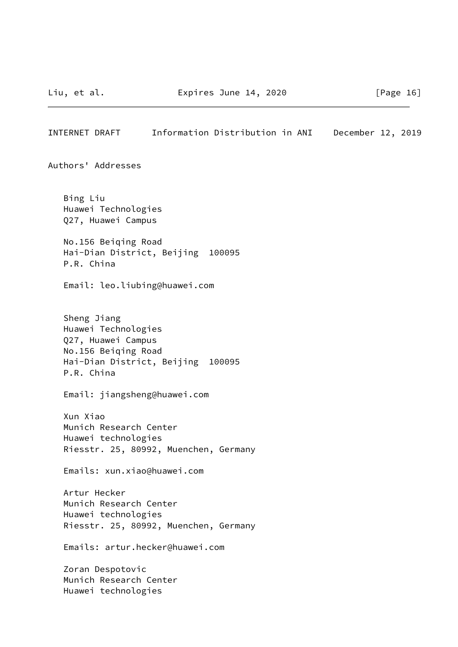INTERNET DRAFT Information Distribution in ANI December 12, 2019 Authors' Addresses Bing Liu Huawei Technologies Q27, Huawei Campus No.156 Beiqing Road Hai-Dian District, Beijing 100095 P.R. China Email: leo.liubing@huawei.com Sheng Jiang Huawei Technologies Q27, Huawei Campus No.156 Beiqing Road Hai-Dian District, Beijing 100095 P.R. China Email: jiangsheng@huawei.com Xun Xiao Munich Research Center Huawei technologies Riesstr. 25, 80992, Muenchen, Germany Emails: xun.xiao@huawei.com Artur Hecker Munich Research Center Huawei technologies Riesstr. 25, 80992, Muenchen, Germany Emails: artur.hecker@huawei.com

 Zoran Despotovic Munich Research Center Huawei technologies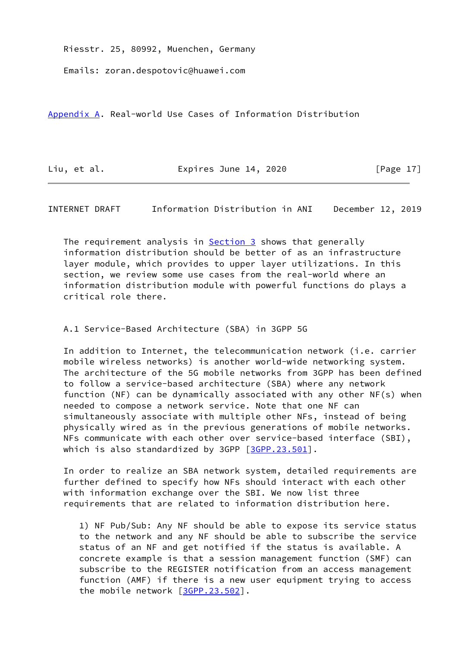Riesstr. 25, 80992, Muenchen, Germany

Emails: zoran.despotovic@huawei.com

<span id="page-19-0"></span>[Appendix A.](#page-19-0) Real-world Use Cases of Information Distribution

Liu, et al. **Expires June 14, 2020** [Page 17]

<span id="page-19-1"></span>INTERNET DRAFT Information Distribution in ANI December 12, 2019

The requirement analysis in **Section 3** shows that generally information distribution should be better of as an infrastructure layer module, which provides to upper layer utilizations. In this section, we review some use cases from the real-world where an information distribution module with powerful functions do plays a critical role there.

# A.1 Service-Based Architecture (SBA) in 3GPP 5G

 In addition to Internet, the telecommunication network (i.e. carrier mobile wireless networks) is another world-wide networking system. The architecture of the 5G mobile networks from 3GPP has been defined to follow a service-based architecture (SBA) where any network function (NF) can be dynamically associated with any other NF(s) when needed to compose a network service. Note that one NF can simultaneously associate with multiple other NFs, instead of being physically wired as in the previous generations of mobile networks. NFs communicate with each other over service-based interface (SBI), which is also standardized by 3GPP  $[3GPP.23.501]$  $[3GPP.23.501]$ .

 In order to realize an SBA network system, detailed requirements are further defined to specify how NFs should interact with each other with information exchange over the SBI. We now list three requirements that are related to information distribution here.

 1) NF Pub/Sub: Any NF should be able to expose its service status to the network and any NF should be able to subscribe the service status of an NF and get notified if the status is available. A concrete example is that a session management function (SMF) can subscribe to the REGISTER notification from an access management function (AMF) if there is a new user equipment trying to access the mobile network [[3GPP.23.502](#page-17-2)].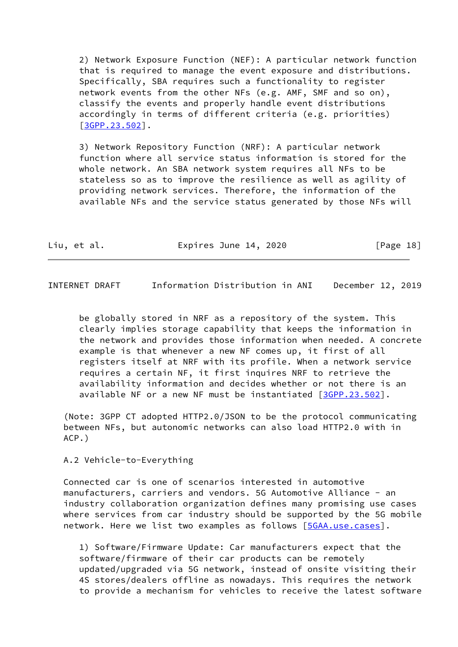2) Network Exposure Function (NEF): A particular network function that is required to manage the event exposure and distributions. Specifically, SBA requires such a functionality to register network events from the other NFs (e.g. AMF, SMF and so on), classify the events and properly handle event distributions accordingly in terms of different criteria (e.g. priorities) [[3GPP.23.502\]](#page-17-2).

 3) Network Repository Function (NRF): A particular network function where all service status information is stored for the whole network. An SBA network system requires all NFs to be stateless so as to improve the resilience as well as agility of providing network services. Therefore, the information of the available NFs and the service status generated by those NFs will

| Liu, et al.<br>Expires June 14, 2020 | [Page 18] |
|--------------------------------------|-----------|
|--------------------------------------|-----------|

INTERNET DRAFT Information Distribution in ANI December 12, 2019

 be globally stored in NRF as a repository of the system. This clearly implies storage capability that keeps the information in the network and provides those information when needed. A concrete example is that whenever a new NF comes up, it first of all registers itself at NRF with its profile. When a network service requires a certain NF, it first inquires NRF to retrieve the availability information and decides whether or not there is an available NF or a new NF must be instantiated [\[3GPP.23.502](#page-17-2)].

 (Note: 3GPP CT adopted HTTP2.0/JSON to be the protocol communicating between NFs, but autonomic networks can also load HTTP2.0 with in ACP.)

A.2 Vehicle-to-Everything

 Connected car is one of scenarios interested in automotive manufacturers, carriers and vendors. 5G Automotive Alliance - an industry collaboration organization defines many promising use cases where services from car industry should be supported by the 5G mobile network. Here we list two examples as follows [[5GAA.use.cases](#page-17-3)].

 1) Software/Firmware Update: Car manufacturers expect that the software/firmware of their car products can be remotely updated/upgraded via 5G network, instead of onsite visiting their 4S stores/dealers offline as nowadays. This requires the network to provide a mechanism for vehicles to receive the latest software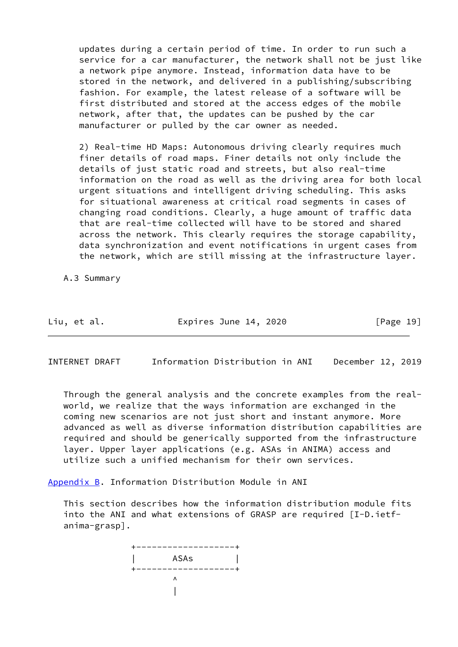updates during a certain period of time. In order to run such a service for a car manufacturer, the network shall not be just like a network pipe anymore. Instead, information data have to be stored in the network, and delivered in a publishing/subscribing fashion. For example, the latest release of a software will be first distributed and stored at the access edges of the mobile network, after that, the updates can be pushed by the car manufacturer or pulled by the car owner as needed.

 2) Real-time HD Maps: Autonomous driving clearly requires much finer details of road maps. Finer details not only include the details of just static road and streets, but also real-time information on the road as well as the driving area for both local urgent situations and intelligent driving scheduling. This asks for situational awareness at critical road segments in cases of changing road conditions. Clearly, a huge amount of traffic data that are real-time collected will have to be stored and shared across the network. This clearly requires the storage capability, data synchronization and event notifications in urgent cases from the network, which are still missing at the infrastructure layer.

A.3 Summary

Liu, et al. **Expires June 14, 2020** [Page 19]

INTERNET DRAFT Information Distribution in ANI December 12, 2019

 Through the general analysis and the concrete examples from the real world, we realize that the ways information are exchanged in the coming new scenarios are not just short and instant anymore. More advanced as well as diverse information distribution capabilities are required and should be generically supported from the infrastructure layer. Upper layer applications (e.g. ASAs in ANIMA) access and utilize such a unified mechanism for their own services.

<span id="page-21-0"></span>[Appendix B.](#page-21-0) Information Distribution Module in ANI

 This section describes how the information distribution module fits into the ANI and what extensions of GRASP are required [I-D.ietf anima-grasp].

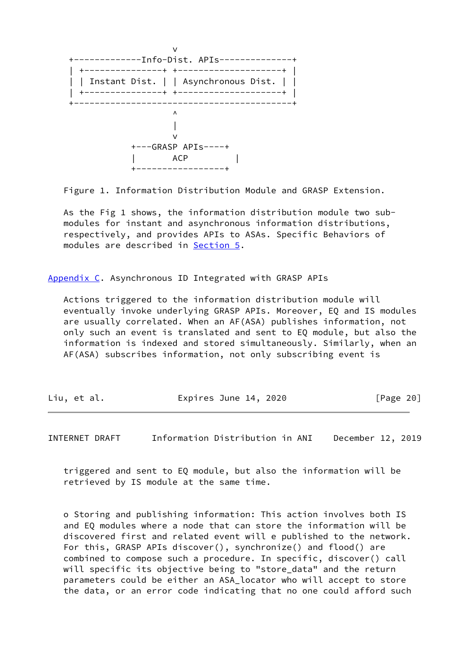

Figure 1. Information Distribution Module and GRASP Extension.

 As the Fig 1 shows, the information distribution module two sub modules for instant and asynchronous information distributions, respectively, and provides APIs to ASAs. Specific Behaviors of modules are described in [Section 5](#page-13-1).

<span id="page-22-0"></span>[Appendix C.](#page-22-0) Asynchronous ID Integrated with GRASP APIs

 Actions triggered to the information distribution module will eventually invoke underlying GRASP APIs. Moreover, EQ and IS modules are usually correlated. When an AF(ASA) publishes information, not only such an event is translated and sent to EQ module, but also the information is indexed and stored simultaneously. Similarly, when an AF(ASA) subscribes information, not only subscribing event is

| Liu, et al. | Expires June 14, 2020 | [Page 20] |
|-------------|-----------------------|-----------|
|             |                       |           |

INTERNET DRAFT Information Distribution in ANI December 12, 2019

 triggered and sent to EQ module, but also the information will be retrieved by IS module at the same time.

 o Storing and publishing information: This action involves both IS and EQ modules where a node that can store the information will be discovered first and related event will e published to the network. For this, GRASP APIs discover(), synchronize() and flood() are combined to compose such a procedure. In specific, discover() call will specific its objective being to "store\_data" and the return parameters could be either an ASA\_locator who will accept to store the data, or an error code indicating that no one could afford such